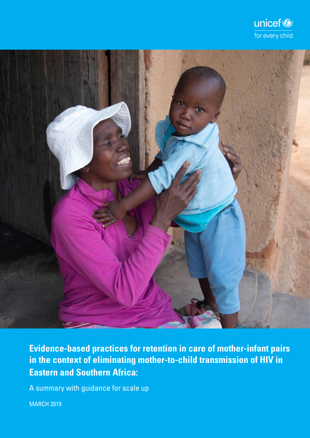



**Evidence-based practices for retention in care of mother-infant pairs in the context of eliminating mother-to-child transmission of HIV in Eastern and Southern Africa:**

A summary with guidance for scale up

MARCH 2019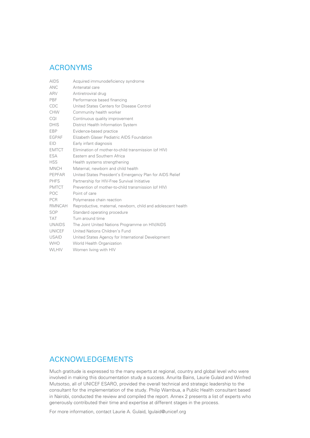# ACRONYMS

| <b>AIDS</b>   | Acquired immunodeficiency syndrome                           |
|---------------|--------------------------------------------------------------|
| ANC.          | Antenatal care                                               |
| ARV           | Antiretroviral drug                                          |
| PBF           | Performance based financing                                  |
| CDC           | United States Centers for Disease Control                    |
| CHW           | Community health worker                                      |
| COL           | Continuous quality improvement                               |
| <b>DHIS</b>   | District Health Information System                           |
| EBP           | Evidence-based practice                                      |
| <b>EGPAF</b>  | Elizabeth Glaser Pediatric AIDS Foundation                   |
| <b>EID</b>    | Early infant diagnosis                                       |
| <b>EMTCT</b>  | Elimination of mother-to-child transmission (of HIV)         |
| ESA           | Eastern and Southern Africa                                  |
| <b>HSS</b>    | Health systems strengthening                                 |
| <b>MNCH</b>   | Maternal, newborn and child health                           |
| <b>PEPFAR</b> | United States President's Emergency Plan for AIDS Relief     |
| <b>PHFS</b>   | Partnership for HIV-Free Survival Initiative                 |
| <b>PMTCT</b>  | Prevention of mother-to-child transmission (of HIV)          |
| POC           | Point of care                                                |
| <b>PCR</b>    | Polymerase chain reaction                                    |
| RMNCAH        | Reproductive, maternal, newborn, child and adolescent health |
| SOP           | Standard operating procedure                                 |
| <b>TAT</b>    | Turn around time                                             |
| <b>UNAIDS</b> | The Joint United Nations Programme on HIV/AIDS               |
| <b>UNICEF</b> | United Nations Children's Fund                               |
| <b>USAID</b>  | United States Agency for International Development           |
| <b>WHO</b>    | World Health Organization                                    |
| <b>WLHIV</b>  | Women living with HIV                                        |

# ACKNOWLEDGEMENTS

Much gratitude is expressed to the many experts at regional, country and global level who were involved in making this documentation study a success. Anurita Bains, Laurie Gulaid and Winfred Mutsotso, all of UNICEF ESARO, provided the overall technical and strategic leadership to the consultant for the implementation of the study. Philip Wambua, a Public Health consultant based in Nairobi, conducted the review and compiled the report. Annex 2 presents a list of experts who generously contributed their time and expertise at different stages in the process.

For more information, contact Laurie A. Gulaid, lgulaid@unicef.org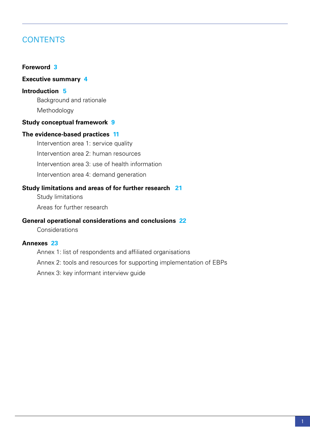# **CONTENTS**

# **[Foreword](#page-4-0) 3**

# **[Executive summary](#page-5-0) 4**

# **I[ntroduction](#page-6-0) 5**

Background and rationale

Methodology

# **[Study conceptual framework](#page-6-0) 9**

# **[The evidence-based practices](#page-11-0) 11**

[Intervention area 1: service quality](#page-11-0) [Intervention area 2: human resources](#page-14-0) [Intervention area 3: use of health information](#page-16-0) [Intervention area 4: demand generation](#page-18-0)

# **[Study limitations and areas of for further research](#page-21-0) 21**

Study limitations

Areas for further research

# **[General operational considerations and conclusions](#page-22-0) 22**

**Considerations** 

# **[Annexes](#page-23-0) 23**

Annex 1: list of respondents and affiliated organisations

Annex 2: tools and resources for supporting implementation of EBPs

Annex 3: key informant interview guide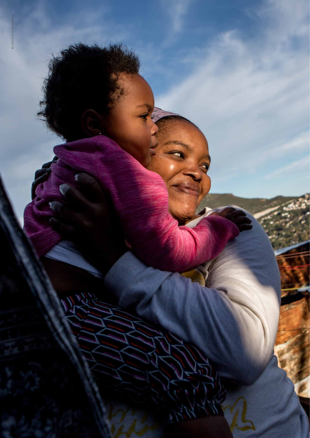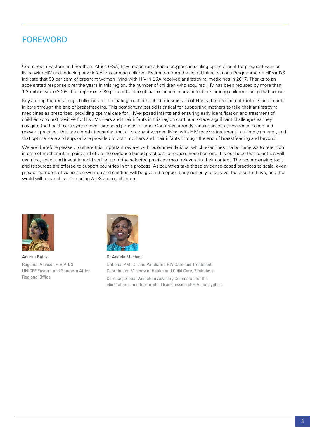# <span id="page-4-0"></span>FOREWORD

Countries in Eastern and Southern Africa (ESA) have made remarkable progress in scaling up treatment for pregnant women living with HIV and reducing new infections among children. Estimates from the Joint United Nations Programme on HIV/AIDS indicate that 93 per cent of pregnant women living with HIV in ESA received antiretroviral medicines in 2017. Thanks to an accelerated response over the years in this region, the number of children who acquired HIV has been reduced by more than 1.2 million since 2009. This represents 80 per cent of the global reduction in new infections among children during that period.

Key among the remaining challenges to eliminating mother-to-child transmission of HIV is the retention of mothers and infants in care through the end of breastfeeding. This postpartum period is critical for supporting mothers to take their antiretroviral medicines as prescribed, providing optimal care for HIV-exposed infants and ensuring early identification and treatment of children who test positive for HIV. Mothers and their infants in this region continue to face significant challenges as they navigate the health care system over extended periods of time. Countries urgently require access to evidence-based and relevant practices that are aimed at ensuring that all pregnant women living with HIV receive treatment in a timely manner, and that optimal care and support are provided to both mothers and their infants through the end of breastfeeding and beyond.

We are therefore pleased to share this important review with recommendations, which examines the bottlenecks to retention in care of mother-infant pairs and offers 10 evidence-based practices to reduce those barriers. It is our hope that countries will examine, adapt and invest in rapid scaling up of the selected practices most relevant to their context. The accompanying tools and resources are offered to support countries in this process. As countries take these evidence-based practices to scale, even greater numbers of vulnerable women and children will be given the opportunity not only to survive, but also to thrive, and the world will move closer to ending AIDS among children.



Anurita Bains Regional Advisor, HIV/AIDS UNICEF Eastern and Southern Africa Regional Office



Dr Angela Mushavi National PMTCT and Paediatric HIV Care and Treatment Coordinator, Ministry of Health and Child Care, Zimbabwe Co-chair, Global Validation Advisory Committee for the elimination of mother-to-child transmission of HIV and syphilis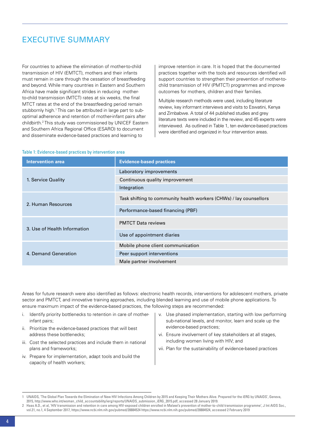# <span id="page-5-0"></span>Executive summary

For countries to achieve the elimination of mother-to-child transmission of HIV (EMTCT), mothers and their infants must remain in care through the cessation of breastfeeding and beyond. While many countries in Eastern and Southern Africa have made significant strides in reducing motherto-child transmission (MTCT) rates at six weeks, the final MTCT rates at the end of the breastfeeding period remain stubbornly high.<sup>1</sup> This can be attributed in large part to suboptimal adherence and retention of mother-infant pairs after childbirth.2 This study was commissioned by UNICEF Eastern and Southern Africa Regional Office (ESARO) to document and disseminate evidence-based practices and learning to

improve retention in care. It is hoped that the documented practices together with the tools and resources identified will support countries to strengthen their prevention of mother-tochild transmission of HIV (PMTCT) programmes and improve outcomes for mothers, children and their families.

Multiple research methods were used, including literature review, key informant interviews and visits to Eswatini, Kenya and Zimbabwe. A total of 44 published studies and grey literature texts were included in the review, and 45 experts were interviewed. As outlined in Table 1, ten evidence-based practices were identified and organized in four intervention areas.

#### Table 1: Evidence-based practices by intervention area

| <b>Intervention area</b>     | <b>Evidence-based practices</b>                                    |
|------------------------------|--------------------------------------------------------------------|
|                              | Laboratory improvements                                            |
| 1. Service Quality           | Continuous quality improvement                                     |
|                              | Integration                                                        |
| 2. Human Resources           | Task shifting to community health workers (CHWs) / lay counsellors |
|                              | Performance-based financing (PBF)                                  |
| 3. Use of Health Information | <b>PMTCT Data reviews</b>                                          |
|                              | Use of appointment diaries                                         |
|                              | Mobile phone client communication                                  |
| 4. Demand Generation         | Peer support interventions                                         |
|                              | Male partner involvement                                           |

Areas for future research were also identified as follows: electronic health records, interventions for adolescent mothers, private sector and PMTCT, and innovative training approaches, including blended learning and use of mobile phone applications. To ensure maximum impact of the evidence-based practices, the following steps are recommended:

- i. Identify priority bottlenecks to retention in care of motherinfant pairs;
- ii. Prioritize the evidence-based practices that will best address these bottlenecks;
- iii. Cost the selected practices and include them in national plans and frameworks;
- iv. Prepare for implementation, adapt tools and build the capacity of health workers;
- v. Use phased implementation, starting with low performing sub-national levels, and monitor, learn and scale up the evidence-based practices;
- vi. Ensure involvement of key stakeholders at all stages, including women living with HIV; and
- vii. Plan for the sustainability of evidence-based practices

<sup>1</sup> UNAIDS, 'The Global Plan Towards the Elimination of New HIV Infections Among Children by 2015 and Keeping Their Mothers Alive. Prepared for the iERG by UNAIDS', Geneva, 2015, http://www.who.int/woman\_child\_accountability/ierg/reports/UNAIDS\_submission\_iERG\_2015.pdf, accessed 28 January 2019.

<sup>2</sup> Haas A.D., et al, 'HIV transmission and retention in care among HIV-exposed children enrolled in Malawi's prevention of mother-to-child transmission programme', J Int AIDS Soc., vol.21, no.1, 4 September 2017, https://www.ncbi.nlm.nih.gov/pubmed/28884524 https://www.ncbi.nlm.nih.gov/pubmed/28884524, accessed 2 February 2019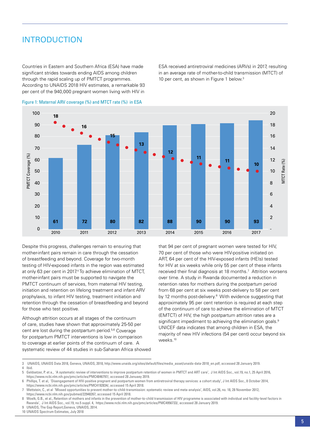# <span id="page-6-0"></span>INTRODUCTION

Countries in Eastern and Southern Africa (ESA) have made significant strides towards ending AIDS among children through the rapid scaling up of PMTCT programmes. According to UNAIDS 2018 HIV estimates, a remarkable 93 per cent of the 940,000 pregnant women living with HIV in

ESA received antiretroviral medicines (ARVs) in 2017, resulting in an average rate of mother-to-child transmission (MTCT) of 10 per cent, as shown in Figure 1 below.<sup>3</sup>





Despite this progress, challenges remain to ensuring that mother-infant pairs remain in care through the cessation of breastfeeding and beyond. Coverage for two-month testing of HIV-exposed infants in the region was estimated at only 63 per cent in 2017.<sup>4</sup> To achieve elimination of MTCT, mother-infant pairs must be supported to navigate the PMTCT continuum of services, from maternal HIV testing, initiation and retention on lifelong treatment and infant ARV prophylaxis, to infant HIV testing, treatment initiation and retention through the cessation of breastfeeding and beyond for those who test positive.

Although attrition occurs at all stages of the continuum of care, studies have shown that approximately 25-50 per cent are lost during the postpartum period.<sup>5,6</sup> Coverage for postpartum PMTCT interventions is low in comparison to coverage at earlier points of the continuum of care. A systematic review of 44 studies in sub-Saharan Africa showed that 94 per cent of pregnant women were tested for HIV, 70 per cent of those who were HIV-positive initiated on ART, 64 per cent of the HIV-exposed infants (HEIs) tested for HIV at six weeks while only 55 per cent of these infants received their final diagnosis at 18 months.7 Attrition worsens over time. A study in Rwanda documented a reduction in retention rates for mothers during the postpartum period from 68 per cent at six weeks post-delivery to 58 per cent by 12 months post-delivery.<sup>8</sup> With evidence suggesting that approximately 95 per cent retention is required at each step of the continuum of care to achieve the elimination of MTCT (EMTCT) of HIV, the high postpartum attrition rates are a significant impediment to achieving the elimination goals.<sup>9</sup> UNICEF data indicates that among children in ESA, the majority of new HIV infections (54 per cent) occur beyond six weeks.10

<sup>3</sup> UNAIDS, UNAIDS Data 2018, Geneva, UNAIDS, 2018, http://www.unaids.org/sites/default/files/media\_asset/unaids-data-2018\_en.pdf, accessed 28 January 2019.

<sup>4</sup> Ibid.<br>5 Geld

<sup>5</sup> Geldsetzer, P. et a., 'A systematic review of interventions to improve postpartum retention of women in PMTCT and ART care', J Int AIDS Soc., vol.19, no.1, 25 April 2016, https://www.ncbi.nlm.nih.gov/pmc/articles/PMC4846797/, accessed 28 Januaey 2019.

<sup>6</sup> Phillips, T. et al, 'Disengagement of HIV-positive pregnant and postpartum women from antiretroviral therapy services: a cohort study', J Int AIDS Soc., 8 October 2014, https://www.ncbi.nlm.nih.gov/pmc/articles/PMC4192834/, accessed 15 April 2018.

<sup>7</sup> Wettstein, C., et al 'Missed opportunities to prevent mother-to-child-transmission: systematic review and meta-analysis', AIDS, vol.26, no. 18, 28 November 2012, https://www.ncbi.nlm.nih.gov/pubmed/22948267, accessed 15 April 2018.

Woelk, G.B., et al., Retention of mothers and infants in the prevention of mother-to-child transmission of HIV programme is associated with individual and facility-level factors in Rwanda', J Int AIDS Soc., vol.19, no.5 suppl. 4, https://www.ncbi.nlm.nih.gov/pmc/articles/PMC4956733/, accessed 28 January 2019.

UNAIDS, The Gap Report, Geneva, UNAIDS, 2014.

<sup>10</sup> UNAIDS Spectrum Estimates, July 2018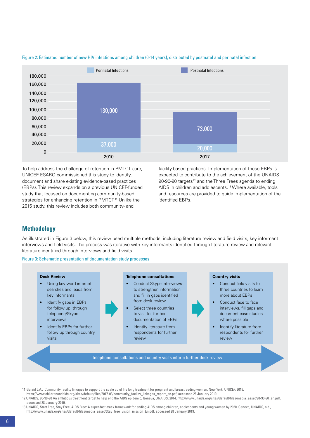

#### Figure 2: Estimated number of new HIV infections among children (0-14 years), distributed by postnatal and perinatal infection

To help address the challenge of retention in PMTCT care, UNICEF ESARO commissioned this study to identify, document and share existing evidence-based practices (EBPs). This review expands on a previous UNICEF-funded study that focused on documenting community-based strategies for enhancing retention in PMTCT.<sup>11</sup> Unlike the 2015 study, this review includes both community- and

facility-based practices. Implementation of these EBPs is expected to contribute to the achievement of the UNAIDS 90-90-90 targets<sup>12</sup> and the Three Frees agenda to ending AIDS in children and adolescents.13 Where available, tools and resources are provided to guide implementation of the identified EBPs.

# **Methodology**

As illustrated in Figure 3 below, this review used multiple methods, including literature review and field visits, key informant interviews and field visits. The process was iterative with key informants identified through literature review and relevant literature identified through interviews and field visits.

Figure 3: Schematic presentation of documentation study processes



- Using key word internet searches and leads from key informants
- Identify gaps in EBPs for follow up through telephone/Skype interviews
- Identify EBPs for further follow up through country visits

**Telephone consultations**

- Conduct Skype interviews to strengthen information and fill in gaps identified from desk review
- Select three countries to visit for further documentation of EBPs
- Identify literature from respondents for further review

#### **Country visits**

- Conduct field visits to three countries to learn more about EBPs
- Conduct face to face interviews, fill gaps and document case studies where possible
- Identify literature from respondents for further review

Telephone consultations and country visits inform further desk review

<sup>11</sup> Gulaid L.A., Community facility linkages to support the scale up of life long treatment for pregnant and breastfeeding women, New York, UNICEF, 2015,

https://www.childrenandaids.org/sites/default/files/2017-03/community\_facility\_linkages\_report\_en.pdf, accessed 28 January 2019.

<sup>12</sup> UNAIDS, 90-90-90 An ambitious treatment target to help end the AIDS epidemic, Geneva, UNAIDS, 2014, http://www.unaids.org/sites/default/files/media\_asset/90-90-90\_en.pdf, accessed 28 January 2019.

<sup>13</sup> UNAIDS, Start Free, Stay Free, AIDS Free: A super-fast-track framework for ending AIDS among children, adolescents and young women by 2020, Geneva, UNAIDS, n.d., http://www.unaids.org/sites/default/files/media\_asset/Stay\_free\_vision\_mission\_En.pdf, accessed 28 January 2019.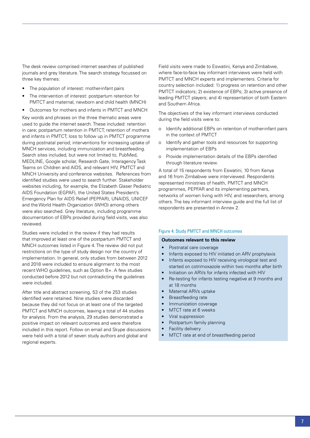The desk review comprised internet searches of published journals and grey literature. The search strategy focussed on three key themes:

- The population of interest: mother-infant pairs
- The intervention of interest: postpartum retention for PMTCT and maternal, newborn and child health (MNCH)
- Outcomes for mothers and infants in PMTCT and MNCH

Key words and phrases on the three thematic areas were used to guide the internet search. These included: retention in care; postpartum retention in PMTCT; retention of mothers and infants in PMTCT; loss to follow up in PMTCT programme during postnatal period; interventions for increasing uptake of MNCH services, including immunization and breastfeeding. Search sites included, but were not limited to, PubMed, MEDLINE, Google scholar, Research Gate, Interagency Task Teams on Children and AIDS, and relevant HIV, PMTCT and MNCH University and conference websites. References from identified studies were used to search further. Stakeholder websites including, for example, the Elizabeth Glaser Pediatric AIDS Foundation (EGPAF), the United States President's Emergency Plan for AIDS Relief (PEPFAR), UNAIDS, UNICEF and the World Health Organization (WHO) among others were also searched. Grey literature, including programme documentation of EBPs provided during field visits, was also reviewed.

Studies were included in the review if they had results that improved at least one of the postpartum PMTCT and MNCH outcomes listed in Figure 4. The review did not put restrictions on the type of study design nor the country of implementation. In general, only studies from between 2012 and 2018 were included to ensure alignment to the most recent WHO guidelines, such as Option B+. A few studies conducted before 2012 but not contradicting the guidelines were included.

After title and abstract screening, 53 of the 253 studies identified were retained. Nine studies were discarded because they did not focus on at least one of the targeted PMTCT and MNCH outcomes, leaving a total of 44 studies for analysis. From the analysis, 29 studies demonstrated a positive impact on relevant outcomes and were therefore included in this report. Follow on email and Skype discussions were held with a total of seven study authors and global and regional experts.

Field visits were made to Eswatini, Kenya and Zimbabwe, where face-to-face key informant interviews were held with PMTCT and MNCH experts and implementers. Criteria for country selection included: 1) progress on retention and other PMTCT indicators; 2) existence of EBPs; 3) active presence of leading PMTCT players; and 4) representation of both Eastern and Southern Africa.

The objectives of the key informant interviews conducted during the field visits were to:

- o Identify additional EBPs on retention of mother-infant pairs in the context of PMTCT
- o Identify and gather tools and resources for supporting implementation of EBPs
- o Provide implementation details of the EBPs identified through literature review.

A total of 15 respondents from Eswatini, 10 from Kenya and 16 from Zimbabwe were interviewed. Respondents represented ministries of health, PMTCT and MNCH programmes, PEPFAR and its implementing partners, networks of women living with HIV, and researchers, among others. The key informant interview guide and the full list of respondents are presented in Annex 2.

#### Figure 4: Study PMTCT and MNCH outcomes

#### **Outcomes relevant to this review**

- Postnatal care coverage
- Infants exposed to HIV initiated on ARV prophylaxis
- Infants exposed to HIV receiving virological test and started on cotrimoxazole within two months after birth
- Initiation on ARVs for infants infected with HIV
- Re-testing for infants testing negative at 9 months and at 18 months
- Maternal ARVs uptake
- **Breastfeeding rate**
- Immunization coverage
- MTCT rate at 6 weeks
- Viral suppression
- Postpartum family planning
- **Facility delivery**
- MTCT rate at end of breastfeeding period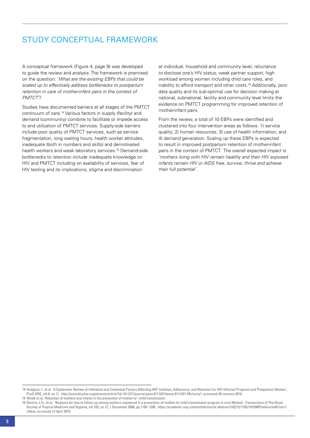# Study conceptual framework

A conceptual framework (Figure 4, page 9) was developed to guide the review and analysis. The framework is premised on the question: '*What are the existing EBPs that could be scaled up to effectively address bottlenecks to postpartum retention in care of mother-infant pairs in the context of PMTCT'*?

Studies have documented barriers at all stages of the PMTCT continuum of care.14 Various factors in supply (facility) and demand (community) combine to facilitate or impede access to and utilization of PMTCT services. Supply-side barriers include poor quality of PMTCT services, such as service fragmentation, long waiting hours, health worker attitudes, inadequate (both in numbers and skills) and demotivated health workers and weak laboratory services.15 Demand-side bottlenecks to retention include inadequate knowledge on HIV and PMTCT including on availability of services, fear of HIV testing and its implications, stigma and discrimination

at individual, household and community level, reluctance to disclose one's HIV status, weak partner support, high workload among women including child care roles, and inability to afford transport and other costs.16 Additionally, poor data quality and its sub-optimal use for decision making at national, subnational, facility and community level limits the evidence on PMTCT programming for improved retention of mother-infant pairs.

From the review, a total of 10 EBPs were identified and clustered into four intervention areas as follows: 1) service quality; 2) human resources; 3) use of health information; and 4) demand generation. Scaling up these EBPs is expected to result in improved postpartum retention of mother-infant pairs in the context of PMTCT. The overall expected impact is *'mothers living with HIV remain healthy and their HIV exposed infants remain HIV or AIDS free, survive, thrive and achieve their full potential'*.

<sup>14</sup> Hodgson, I., et al. 'A Systematic Review of Individual and Contextual Factors Affecting ART Initiation, Adherence, and Retention for HIV-Infected Pregnant and Postpartum Women', PLoS ONE, vol.9, no.11, http://journals.plos.org/plosone/article?id=10.1371/journal.pone.0111421#pone.0111421-McLeroy1, accessed 28 January 2019. 15 Woelk et al, 'Retention of mothers and infants in the prevention of mother-to- child transmission'.

<sup>16</sup> Bwirire, L.D., et al, 'Reasons for loss to follow-up among mothers registered in a prevention-of-mother-to-child transmission program in rural Malawi', Transactions of The Royal Society of Tropical Medicine and Hygiene, vol.102, no.12, 1 December 2008, pp.1195–1200, https://academic.oup.com/trstmh/article-abstract/102/12/1195/1919380?redirectedFrom=f ulltext, accessed 12 April 2018.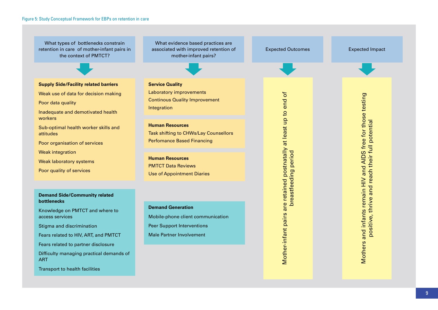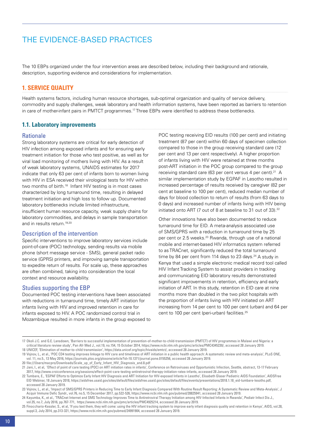# <span id="page-11-0"></span>THE EVIDENCE-BASED PRACTICES

The 10 EBPs organized under the four intervention areas are described below, including their background and rationale, description, supporting evidence and considerations for implementation.

# **1. Service quality**

Health systems factors, including human resource shortages, sub-optimal organization and quality of service delivery, commodity and supply challenges, weak laboratory and health information systems, have been reported as barriers to retention in care of mother-infant pairs in PMTCT programmes.<sup>17</sup> Three EBPs were identified to address these bottlenecks.

### **1.1. Laboratory improvements**

#### Rationale

Strong laboratory systems are critical for early detection of HIV infection among exposed infants and for ensuring early treatment initiation for those who test positive, as well as for viral load monitoring of mothers living with HIV. As a result of weak laboratory systems, UNAIDS estimates for 2017 indicate that only 63 per cent of infants born to women living with HIV in ESA received their virological tests for HIV within two months of birth.<sup>18</sup> Infant HIV testing is in most cases characterized by long turnaround time, resulting in delayed treatment initiation and high loss to follow up. Documented laboratory bottlenecks include limited infrastructure, insufficient human resource capacity, weak supply chains for laboratory commodities, and delays in sample transportation and in results return.<sup>19,20</sup>

#### Description of the intervention

Specific interventions to improve laboratory services include point-of-care (POC) technology, sending results via mobile phone (short message service - SMS), general packet radio service (GPRS) printers, and improving sample transportation to expedite return of results. For scale up, these approaches are often combined, taking into consideration the local context and resource availability.

#### Studies supporting the EBP

Documented POC testing interventions have been associated with reductions in turnaround time, timely ART initiation for infants living with HIV and improved retention in care for infants exposed to HIV. A POC randomized control trial in Mozambique resulted in more infants in the group exposed to POC testing receiving EID results (100 per cent) and initiating treatment (87 per cent) within 60 days of specimen collection compared to those in the group receiving standard care (12 per cent and 13 per cent respectively). A higher proportion of infants living with HIV were retained at three months post-ART initiation in the POC group compared to the group receiving standard care (63 per cent versus 4 per cent).<sup>21</sup> A similar implementation study by EGPAF in Lesotho resulted in increased percentage of results received by caregiver (82 per cent at baseline to 100 per cent), reduced median number of days for blood collection to return of results (from 63 days to 0 days) and increased number of infants living with HIV being initiated onto ART (7 out of 8 at baseline to 31 out of 33).<sup>22</sup>

Other innovations have also been documented to reduce turnaround time for EID. A meta-analysis associated use of SMS/GPRS with a reduction in turnaround time by 25 per cent or 2.5 weeks.<sup>23</sup> Rwanda, through use of a national mobile and internet-based HIV informatics system referred to as TRACnet, significantly reduced the total turnaround time by 84 per cent from 114 days to 23 days. $24$  A study in Kenya that used a simple electronic medical record tool called HIV Infant Tracking System to assist providers in tracking and communicating EID laboratory results demonstrated significant improvements in retention, efficiency and early initiation of ART. In this study, retention in EID care at nine months more than doubled in the two pilot hospitals with the proportion of infants living with HIV initiated on ART increasing from 14 per cent to 100 per cent (urban) and 64 per cent to 100 per cent (peri-urban) facilities.25

<sup>17</sup> Okoli J.C. and G.E. Lansdown, 'Barriers to successful implementation of prevention-of-mother-to-child-transmission (PMTCT) of HIV programmes in Malawi and Nigeria: a critical literature review study', Pan Afr Med J., vol.19, no.154, 15 October 2014, https://www.ncbi.nlm.nih.gov/pmc/articles/PMC4345230/, accessed 28 January 2019. 18 UNICEF, 'Elimination of mother-to-child transmission', https://data.unicef.org/topic/hivaids/emtct/, accessed 28 January 2019.

<sup>19</sup> Vojnov, L., et al., 'POC CD4 testing improves linkage to HIV care and timeliness of ART initiation in a public health approach: A systematic review and meta-analysis', PLoS ONE, vol. 11, no.5., 13 May 2016, https://journals.plos.org/plosone/article?id=10.1371/journal.pone.0155256, accessed 28 January 2019.

<sup>20</sup> file:///Users/macpro/Downloads/Scale\_up\_of\_Early\_Infant\_HIV\_Diagnosis\_and.8.pdf

<sup>21</sup> Jani, I., et al, 'Effect of point of care testing (POC) on ART initiation rates in infants', Conference on Retroviruses and Opportunistic Infection, Seattle, abstract, 13-17 February 2017, http://www.croiconference.org/sessions/effect-point-care-testing-antiretroviral-therapy-initiation-rates-infants, accessed 28 January 2019.

<sup>22</sup> Tumbare, E., 'EGPAF Efforts to Optimize Early Infant HIV Diagnosis and ART Initiation for HIV-exposed Infants in Lesotho', Elisabeth Glaser Pediatric AIDS Foundation', AIDSFree EID Webinar, 18 January 2018, https://aidsfree.usaid.gov/sites/default/files/aidsfree.usaid.gov/sites/default/files/events/presentations/2018.1.18\_eid-tumbare-lesotho.pdf, accessed 28 January 2019.

<sup>23</sup> Vojnov, L., et al., 'Impact of SMS/GPRS Printers in Reducing Time to Early Infant Diagnosis Compared With Routine Result Reporting: A Systematic Review and Meta-Analysis', J Acquir Immune Defic Syndr., vol.76, no.5, 15 December 2017, pp.522-526, https://www.ncbi.nlm.nih.gov/pubmed/28825941, accessed 28 January 2019.

<sup>24</sup> Kayumba, K., et al., 'TRACnet Internet and SMS Technology Improves Time to Antiretroviral Therapy Initiation among HIV-Infected Infants in Rwanda', Pediatr Infect Dis J., vol.35, no.7, July 2016, pp.767-771, https://www.ncbi.nlm.nih.gov/pmc/articles/PMC4925214, accessed 28 January 2019.

<sup>25</sup> Finocchario-Kessler, S., et al, 'If you text them, they will come: using the HIV infant tracking system to improve early infant diagnosis quality and retention in Kenya', AIDS, vol.28, suppl.3, July 2014, pp.313-321, https://www.ncbi.nlm.nih.gov/pubmed/24991904, accessed 28 January 2019.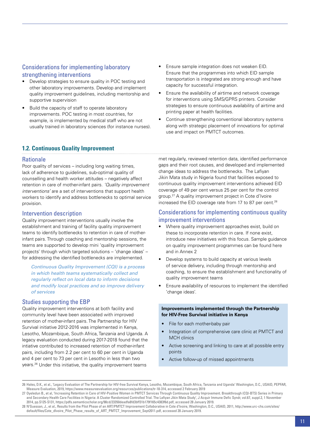# Considerations for implementing laboratory strengthening interventions

- Develop strategies to ensure quality in POC testing and other laboratory improvements. Develop and implement quality improvement guidelines, including mentorship and supportive supervision
- Build the capacity of staff to operate laboratory improvements. POC testing in most countries, for example, is implemented by medical staff who are not usually trained in laboratory sciences (for instance nurses).

#### Ensure that the programmes into which EID sample transportation is integrated are strong enough and have capacity for successful integration. Ensure the availability of airtime and network coverage

Ensure sample integration does not weaken EID.

- for interventions using SMS/GPRS printers. Consider strategies to ensure continuous availability of airtime and printing paper at health facilities.
- Continue strengthening conventional laboratory systems along with strategic placement of innovations for optimal use and impact on PMTCT outcomes.

# **1.2. Continuous Quality Improvement**

#### **Rationale**

Poor quality of services – including long waiting times, lack of adherence to guidelines, sub-optimal quality of counselling and health worker attitudes – negatively affect retention in care of mother-infant pairs. *'Quality improvement interventions'* are a set of interventions that support health workers to identify and address bottlenecks to optimal service provision.

# Intervention description

Quality improvement interventions usually involve the establishment and training of facility quality improvement teams to identify bottlenecks to retention in care of motherinfant pairs. Through coaching and mentorship sessions, the teams are supported to develop mini 'quality improvement projects' through which targeted solutions – 'change ideas' – for addressing the identified bottlenecks are implemented.

*Continuous Quality Improvement (CQI) is a process in which health teams systematically collect and regularly reflect on local data to inform decisions and modify local practices and so improve delivery of services*

# Studies supporting the EBP

Quality improvement interventions at both facility and community level have been associated with improved retention of mother-infant pairs. The Partnership for HIV Survival initiative 2012-2016 was implemented in Kenya, Lesotho, Mozambique, South Africa, Tanzania and Uganda. A legacy evaluation conducted during 2017-2018 found that the intiative contributed to increased retention of mother-infant pairs, including from 2.2 per cent to 60 per cent in Uganda and 4 per cent to 73 per cent in Lesotho in less than two years.26 Under this initiative, the quality improvement teams

met regularly, reviewed retention data, identified performance gaps and their root causes, and developed and implemented change ideas to address the bottlenecks. The Lafiyan Jikin Mata study in Nigeria found that facilities exposed to continuous quality improvement interventions achieved EID coverage of 49 per cent versus 25 per cent for the control group.27 A quality improvement project in Cote d'Ivoire increased the EID coverage rate from 17 to 87 per cent.<sup>28</sup>

# Considerations for implementing continuous quality improvement interventions

- Where quality improvement approaches exist, build on these to incorporate retention in care. If none exist, introduce new initiatives with this focus. Sample guidance on quality improvement programmes can be found here and in Annex 2
- Develop systems to build capacity at various levels of service delivery, including through mentorship and coaching, to ensure the establishment and functionality of quality improvement teams
- Ensure availability of resources to implement the identified 'change ideas'.

#### **Improvements implemented through the Partnership for HIV-Free Survival initiative in Kenya**

- File for each mother-baby pair
- Integration of comprehensive care clinic at PMTCT and MCH clinics
- Active screening and linking to care at all possible entry points
- Active follow-up of missed appointments

<sup>26</sup> Hales, D.K., et al., 'Legacy Evaluation of The Partnership for HIV-free Survival Kenya, Lesotho, Mozambique, South Africa, Tanzania and Uganda' Washington, D.C., USAID, PEPFAR, Measure Evaluation, 2019, https://www.measureevaluation.org/resources/publications/tr-18-314, accessed 2 February 2019

<sup>27</sup> Oyeledun B., et al, 'Increasing Retention in Care of HIV-Positive Women in PMTCT Services Through Continuous Quality Improvement. Breakthrough (CQI-BTS) Series in Primary and Secondary Health Care Facilities in Nigeria: A Cluster Randomized Controlled Trial. The Lafiyan Jikin Mata Study', J Acquir Immune Defic Syndr, vol.67, suppl.2, 1 November 2014, pp.S125-S131, https://pdfs.semanticscholar.org/98cd/23350deadfa8fd3bff31b179f165c4383f6d.pdf, accessed 28 January 2019.

<sup>28</sup> N'Guessan, J., et al., Results from the Pilot Phase of an ART/PMTCT Improvement Collaborative in Cote d'Ivoire, Washington, D.C., USAID, 2011, http://www.urc-chs.com/sites/ default/files/Cote\_dIvoire\_Pilot\_Phase\_results\_of\_ART\_PMTCT\_Improvement\_Sept2011.pdf, accessed 28 January 2019.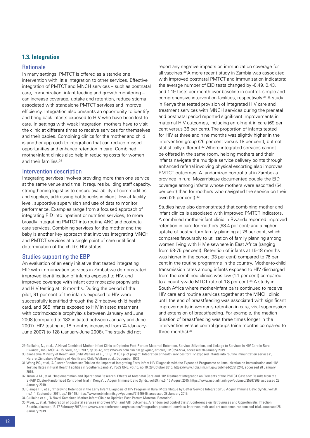# **1.3. Integration**

#### **Rationale**

In many settings, PMTCT is offered as a stand-alone intervention with little integration to other services. Effective integration of PMTCT and MNCH services – such as postnatal care, immunization, infant feeding and growth monitoring – can increase coverage, uptake and retention, reduce stigma associated with standalone PMTCT services and improve efficiency. Integration also presents an opportunity to identify and bring back infants exposed to HIV who have been lost to care. In settings with weak integration, mothers have to visit the clinic at different times to receive services for themselves and their babies. Combining clinics for the mother and child is another approach to integration that can reduce missed opportunities and enhance retention in care. Combined mother-infant clinics also help in reducing costs for women and their families.<sup>29</sup>

#### Intervention description

Integrating services involves providing more than one service at the same venue and time. It requires building staff capacity, strengthening logistics to ensure availability of commodities and supplies, addressing bottlenecks in client flow at facility level, supportive supervision and use of data to monitor performance. Examples range from a focused approach of integrating EID into inpatient or nutrition services, to more broadly integrating PMTCT into routine ANC and postnatal care services. Combining services for the mother and the baby is another key approach that involves integrating MNCH and PMTCT services at a single point of care until final determination of the child's HIV status.

#### Studies supporting the EBP

An evaluation of an early initiative that tested integrating EID with immunization services in Zimbabwe demonstrated improved identification of infants exposed to HIV, and improved coverage with infant cotrimoxazole prophylaxis and HIV testing at 18 months. During the period of the pilot, 91 per cent of the infants exposed to HIV were successfully identified through the Zimbabwe child health card, and 565 infants exposed to HIV initiated treatment with cotrimoxazole prophylaxis between January and June 2008 (compared to 182 initiated between January and June 2007). HIV testing at 18 months increased from 74 (January-June 2007) to 128 (January-June 2008). The study did not

report any negative impacts on immunization coverage for all vaccines.30 A more recent study in Zambia was associated with improved postnatal PMTCT and immunization indicators: the average number of EID tests changed by -0.49, 0.43, and 1.19 tests per month over baseline in control, simple and comprehensive intervention facilities, respectively.31 A study in Kenya that tested provision of integrated HIV care and treatment services with MNCH services during the prenatal and postnatal period reported significant improvements in maternal HIV outcomes, including enrolment in care (69 per cent versus 36 per cent). The proportion of infants tested for HIV at three and nine months was slightly higher in the intervention group (25 per cent versus 18 per cent), but not statistically different.<sup>32</sup> Where integrated services cannot be offered in the same room, helping mothers and their infants navigate the multiple service delivery points through enhanced referral involving physical escorting also improves PMTCT outcomes. A randomized control trial in Zambezia province in rural Mozambique documented double the EID coverage among infants whose mothers were escorted (54 per cent) than for mothers who navigated the service on their own (26 per cent).<sup>33</sup>

Studies have also demonstrated that combining mother and infant clinics is associated with improved PMTCT indicators. A combined mother-infant clinic in Rwanda reported improved retention in care for mothers (98.4 per cent) and a higher uptake of postpartum family planning at 76 per cent, which compares favourably to utilization of family planning among women living with HIV elsewhere in East Africa (ranging from 58-75 per cent). Retention of infants at 15-18 months was higher in the cohort (93 per cent) compared to 76 per cent in the routine programme in the country. Mother-to-child transmission rates among infants exposed to HIV discharged from the combined clinics was low (1.1 per cent) compared to a countrywide MTCT rate of 1.8 per cent.<sup>34</sup> A study in South Africa where mother-infant pairs continued to receive HIV care and routine services together at the MNCH clinic until the end of breastfeeding was associated with significant improvements in women's retention in care, viral suppression and extension of breastfeeding. For example, the median duration of breastfeeding was three times longer in the intervention versus control groups (nine months compared to three months). 35

<sup>29</sup> Guillaine, N., et al., 'A Novel Combined Mother-infant Clinic to Optimize Post-Partum Maternal Retention, Service Utilization, and Linkage to Services in HIV Care in Rural Rwanda', Int J MCH AIDS, vol.6, no,1, 2017, pp.36–45, https://www.ncbi.nlm.nih.gov/pmc/articles/PMC5547224, accessed 28 January 2019.

<sup>30</sup> Zimbabwe Ministry of Health and Child Welfare et al., 'EPI/PMTCT pilot project. Integration of health services for HIV exposed infants into routine immunization services', Harare, Zimbabwe Ministry of Health and Child Welfare et al., December 2008

<sup>31</sup> Wang P.C., et al, 'A Cluster Randomised Trial on the Impact of Integrating Early Infant HIV Diagnosis with the Expanded Programme on Immunization on Immunization and HIV Testing Rates in Rural Health Facilities in Southern Zambia', PLoS ONE, vol.10, no.10, 29 October 2015, https://www.ncbi.nlm.nih.gov/pubmed/26513240, accessed 28 January 2019.

<sup>32</sup> Turan, J.M., et al., 'Implementation and Operational Research: Effects of Antenatal Care and HIV Treatment Integration on Elements of the PMTCT Cascade: Results from the SHAIP Cluster-Randomized Controlled Trial in Kenya', J Acquir Immune Defic Syndr., vol.69, no.5, 15 August 2015, https://www.ncbi.nlm.nih.gov/pubmed/25967269, accessed 28 January 2019.

<sup>33</sup> Ciampa P.I., et al, 'Improving Retention in the Early Infant Diagnosis of HIV Program in Rural Mozambique by Better Service Integration', J Acquir Immune Defic Syndr., vol.58, no.1, 1 September 2011, pp.115-119, https://www.ncbi.nlm.nih.gov/pubmed/21546845, accessed 28 January 2019.

<sup>34</sup> Guillaine et al., 'A Novel Combined Mother-infant Clinic to Optimize Post-Partum Maternal Retention'.

<sup>35</sup> Myer, L., et al., 'Integration of postnatal services improves MCH and ART outcomes. A randomised control trials', Conference on Retroviruses and Opportunistic Infection, Seattle, abstract, 13-17 February 2017,http://www.croiconference.org/sessions/integration-postnatal-services-improves-mch-and-art-outcomes-randomised-trial, accessed 28 January 2019.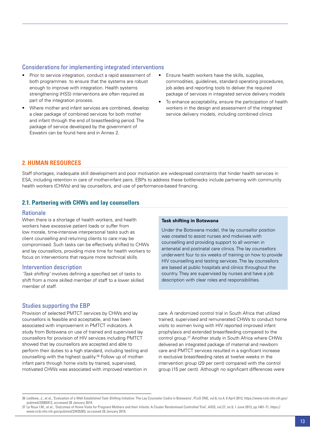# <span id="page-14-0"></span>Considerations for implementing integrated interventions

- Prior to service integration, conduct a rapid assessment of both programmes to ensure that the systems are robust enough to improve with integration. Health systems strengthening (HSS) interventions are often required as part of the integration process.
- Where mother and infant services are combined, develop a clear package of combined services for both mother and infant through the end of breastfeeding period. The package of service developed by the government of Eswatini can be found here and in Annex 2.
- Ensure health workers have the skills, supplies, commodities, guidelines, standard operating procedures, job aides and reporting tools to deliver the required package of services in integrated service delivery models
- To enhance acceptability, ensure the participation of health workers in the design and assessment of the integrated service delivery models, including combined clinics

# **2. Human resources**

Staff shortages, inadequate skill development and poor motivation are widespread constraints that hinder health services in ESA, including retention in care of mother-infant pairs. EBPs to address these bottlenecks include partnering with community health workers (CHWs) and lay counsellors, and use of performance-based financing.

# **2.1. Partnering with CHWs and lay counsellors**

#### **Rationale**

When there is a shortage of health workers, and health workers have excessive patient loads or suffer from low morale, time-intensive interpersonal tasks such as client counselling and returning clients to care may be compromised. Such tasks can be effectively shifted to CHWs and lay counsellors, providing more time for health workers to focus on interventions that require more technical skills.

#### Intervention description

*'Task shifting'* involves defining a specified set of tasks to shift from a more skilled member of staff to a lower skilled member of staff.

#### Studies supporting the EBP

Provision of selected PMTCT services by CHWs and lay counsellors is feasible and acceptable, and has been associated with improvement in PMTCT indicators. A study from Botswana on use of trained and supervised lay counsellors for provision of HIV services including PMTCT showed that lay counsellors are accepted and able to perform their duties to a high standard, including testing and counselling with the highest quality.36 Follow up of motherinfant pairs through home visits by trained, supervised, motivated CHWs was associated with improved retention in

#### **Task shifting in Botswana**

Under the Botswana model, the lay counsellor position was created to assist nurses and midwives with counselling and providing support to all women in antenatal and postnatal care clinics. The lay counsellors underwent four to six weeks of training on how to provide HIV counselling and testing services. The lay counsellors are based at public hospitals and clinics throughout the country. They are supervised by nurses and have a job description with clear roles and responsibilities.

care. A randomized control trial in South Africa that utilized trained, supervised and remunerated CHWs to conduct home visits to women living with HIV reported improved infant prophylaxis and extended breastfeeding compared to the control group.37 Another study in South Africa where CHWs delivered an integrated package of maternal and newborn care and PMTCT services resulted in a significant increase in exclusive breastfeeding rates at twelve weeks in the intervention group (29 per cent) compared with the control group (15 per cent). Although no significant differences were

<sup>36</sup> Ledikwe, J., et al., 'Evaluation of a Well-Established Task-Shifting Initiative: The Lay Counselor Cadre in Botswana', PLoS ONE, vol.8, no.4, 9 April 2013, https://www.ncbi.nlm.nih.gov/ pubmed/23585912, accessed 28 January 2019.

<sup>37</sup> Le Roux I.M., et al., 'Outcomes of Home Visits for Pregnant Mothers and their Infants: A Cluster Randomised Controlled Trial', AIDS, vol.27, no.9, 1 June 2013, pp.1461-71, https:// www.ncbi.nlm.nih.gov/pubmed/23435303, accessed 28 January 2019.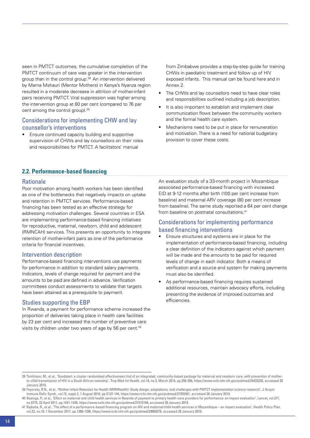seen in PMTCT outcomes, the cumulative completion of the PMTCT continuum of care was greater in the intervention group than in the control group.<sup>38</sup> An intervention delivered by Mama Mshauri (Mentor Mothers) in Kenya's Nyanza region resulted in a moderate decrease in attrition of mother-infant pairs receiving PMTCT. Viral suppression was higher among the intervention group at 80 per cent (compared to 76 per cent among the control group).<sup>39</sup>

# Considerations for implementing CHW and lay counsellor's interventions

Ensure continued capacity building and supportive supervision of CHWs and lay counsellors on their roles and responsibilities for PMTCT. A facilitators' manual

from Zimbabwe provides a step-by-step guide for training CHWs in paediatric treatment and follow up of HIV exposed infants. This manual can be found here and in Annex 2.

- The CHWs and lay counsellors need to have clear roles and responsibilities outlined including a job description.
- It is also important to establish and implement clear communication flows between the community workers and the formal health care system.
- Mechanisms need to be put in place for remuneration and motivation. There is a need for national budgetary provision to cover these costs.

# **2.2. Performance-based financing**

#### Rationale

Poor motivation among health workers has been identified as one of the bottlenecks that negatively impacts on uptake and retention in PMTCT services. Performance-based financing has been tested as an effective strategy for addressing motivation challenges. Several countries in ESA are implementing performance-based financing initiatives for reproductive, maternal, newborn, child and adolescent (RMNCAH) services. This presents an opportunity to integrate retention of mother-infant pairs as one of the performance criteria for financial incentives.

#### Intervention description

Performance-based financing interventions use payments for performance in addition to standard salary payments. Indicators, levels of change required for payment and the amounts to be paid are defined in advance. Verification committees conduct assessments to validate that targets have been attained as a prerequisite to payment.

#### Studies supporting the EBP

In Rwanda, a payment for performance scheme increased the proportion of deliveries taking place in health care facilities by 23 per cent and increased the number of preventive care visits by children under two years of age by 56 per cent.<sup>40</sup>

An evaluation study of a 33-month project in Mozambique associated performance-based financing with increased EID at 9-12 months after birth (100 per cent increase from baseline) and maternal ARV coverage (80 per cent increase from baseline). The same study reported a 64 per cent change from baseline on postnatal consultations.<sup>41</sup>

# Considerations for implementing performance based financing interventions

- Ensure structures and systems are in place for the implementation of performance-based financing, including a clear definition of the indicators against which payment will be made and the amounts to be paid for required levels of change in each indicator. Both a means of verification and a source and system for making payments must also be identified.
- As performance-based financing requires sustained additional resources, maintain advocacy efforts, including presenting the evidence of improved outcomes and efficiencies.

<sup>38</sup> Tomlinson, M., et al., 'Goodstart: a cluster randomised effectiveness trial of an integrated, community-based package for maternal and newborn care, with prevention of motherto-child transmission of HIV in a South African township', Trop Med Int Health, vol.19, no.3, March 2014, pp.256-266, https://www.ncbi.nlm.nih.gov/pubmed/24433230, accessed 28 January 2019.

<sup>39</sup> Fayorsey, R.N., et al., 'Mother-infant Retention for Health (MIR4Health): Study design, adaptations, and challenges with PMTCT implementation science research', J Acquir Immune Defic Syndr., vol.72, suppl.2, 1 August 2016, pp.S137-144, https://www.ncbi.nlm.nih.gov/pubmed/27355501, accessed 28 January 2019.

<sup>40</sup> Basinga, P., et al., 'Effect on maternal and child health services in Rwanda of payment to primary health-care providers for performance: an impact evaluation', Lancet, vol.377, no.9775, 23 April 2011, pp.1421-1428, https://www.ncbi.nlm.nih.gov/pubmed/21515164, accessed 28 January 2019.

<sup>41</sup> Rajkoita, R., et al., 'The effect of a performance-based financing program on HIV and maternal/child health services in Mozambique—an impact evaluation', Health Policy Plan, vol.32, no.10, 1 December 2017, pp.1386-1396, https://www.ncbi.nlm.nih.gov/pubmed/29069378, accessed 28 January 2019.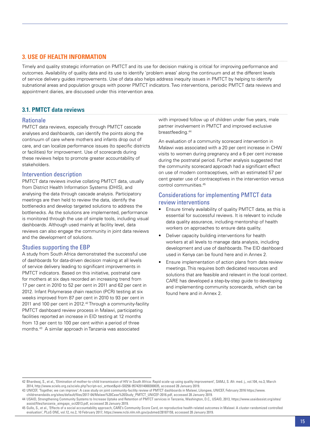# <span id="page-16-0"></span>**3. Use of health information**

Timely and quality strategic information on PMTCT and its use for decision making is critical for improving performance and outcomes. Availability of quality data and its use to identify 'problem areas' along the continuum and at the different levels of service delivery guides improvements. Use of data also helps address inequity issues in PMTCT by helping to identify subnational areas and population groups with poorer PMTCT indicators. Two interventions, periodic PMTCT data reviews and appointment diaries, are discussed under this intervention area.

# **3.1. PMTCT data reviews**

#### Rationale

PMTCT data reviews, especially through PMTCT cascade analyses and dashboards, can identify the points along the continuum of care where mothers and infants drop out of care, and can localize performance issues (to specific districts or facilities) for improvement. Use of scorecards during these reviews helps to promote greater accountability of stakeholders.

#### Intervention description

PMTCT data reviews involve collating PMTCT data, usually from District Health Information Systems (DHIS), and analysing the data through cascade analysis. Participatory meetings are then held to review the data, identify the bottlenecks and develop targeted solutions to address the bottlenecks. As the solutions are implemented, performance is monitored through the use of simple tools, including visual dashboards. Although used mainly at facility level, data reviews can also engage the community in joint data reviews and the development of solutions.

# Studies supporting the EBP

A study from South Africa demonstrated the successful use of dashboards for data-driven decision making at all levels of service delivery leading to significant improvements in PMTCT indicators. Based on this initiative, postnatal care for mothers at six days recorded an increasing trend from 17 per cent in 2010 to 52 per cent in 2011 and 62 per cent in 2012. Infant Polymerase chain reaction (PCR) testing at six weeks improved from 87 per cent in 2010 to 93 per cent in 2011 and 100 per cent in 2012.<sup>42</sup> Through a community-facility PMTCT dashboard review process in Malawi, participating facilities reported an increase in EID testing at 12 months from 13 per cent to 100 per cent within a period of three months.43 A similar approach in Tanzania was associated

with improved follow up of children under five years, male partner involvement in PMTCT and improved exclusive breastfeeding.<sup>44</sup>

An evaluation of a community scorecard intervention in Malawi was associated with a 20 per cent increase in CHW visits to women during pregnancy and a 6 per cent increase during the postnatal period. Further analysis suggested that the community scorecard approach had a significant effect on use of modern contraceptives, with an estimated 57 per cent greater use of contraceptives in the intervention versus control communities.45

# Considerations for implementing PMTCT data review interventions

- Ensure timely availability of quality PMTCT data, as this is essential for successful reviews. It is relevant to include data quality assurance, including mentorship of health workers on approaches to ensure data quality.
- Deliver capacity building interventions for health workers at all levels to manage data analysis, including development and use of dashboards. The EID dashboard used in Kenya can be found here and in Annex 2.
- Ensure implementation of action plans from data review meetings. This requires both dedicated resources and solutions that are feasible and relevant in the local context. CARE has developed a step-by-step guide to developing and implementing community scorecards, which can be found here and in Annex 2.

<sup>42</sup> Bhardwaj, S., et al., 'Elimination of mother-to-child transmission of HIV in South Africa: Rapid scale-up using quality improvement', SAMJ, S. Afr. med. j., vol.104, no.3, March 2014, http://www.scielo.org.za/scielo.php?script=sci\_arttext&pid=S0256-95742014000300035, accessed 28 January 2019.

<sup>43</sup> UNICEF, 'Together, we can improve': A case study on joint community-facility review of PMTCT dashboards in Malawi, Lilongwe, UNICEF, February 2016 https://www. childrenandaids.org/sites/default/files/2017-04/Malawi%20Case%20Study\_PMTCT\_UNICEF-2016.pdf, accessed 28 January 2019.

<sup>44</sup> USAID, Strengthening Community Systems to Increase Uptake and Retention of PMTCT services in Tanzania, Washington, D.C., USAID, 2013, https://www.usaidassist.org/sites/ assist/files/tanzania\_aimgaps\_oct2013.pdf, accessed 28 January 2019.

<sup>45</sup> Gullo, S., et al., 'Effects of a social accountability approach, CARE's Community Score Card, on reproductive health-related outcomes in Malawi: A cluster-randomized controlled evaluation', PLoS ONE, vol.12, no.2, 10 February 2017, https://www.ncbi.nlm.nih.gov/pubmed/28187159, accessed 28 January 2019.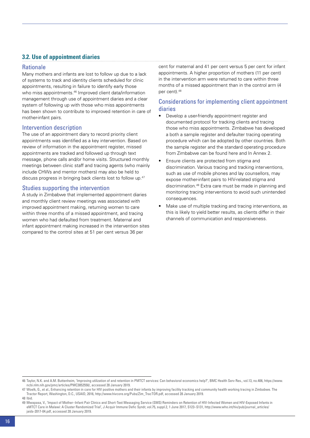# **3.2. Use of appointment diaries**

### **Rationale**

Many mothers and infants are lost to follow up due to a lack of systems to track and identity clients scheduled for clinic appointments, resulting in failure to identify early those who miss appointments.<sup>46</sup> Improved client data/information management through use of appointment diaries and a clear system of following up with those who miss appointments has been shown to contribute to improved retention in care of mother-infant pairs.

# Intervention description

The use of an appointment diary to record priority client appointments was identified as a key intervention. Based on review of information in the appointment register, missed appointments are tracked and followed up through text message, phone calls and/or home visits. Structured monthly meetings between clinic staff and tracing agents (who mainly include CHWs and mentor mothers) may also be held to discuss progress in bringing back clients lost to follow up.47

# Studies supporting the intervention

A study in Zimbabwe that implemented appointment diaries and monthly client review meetings was associated with improved appointment making, returning women to care within three months of a missed appointment, and tracing women who had defaulted from treatment. Maternal and infant appointment making increased in the intervention sites compared to the control sites at 51 per cent versus 36 per

cent for maternal and 41 per cent versus 5 per cent for infant appointments. A higher proportion of mothers (11 per cent) in the intervention arm were returned to care within three months of a missed appointment than in the control arm (4 per cent).48

# Considerations for implementing client appointment diaries

- Develop a user-friendly appointment register and documented protocol for tracking clients and tracing those who miss appointments. Zimbabwe has developed a both a sample register and defaulter tracing operating procedure which can be adopted by other countries. Both the sample register and the standard operating procedure from Zimbabwe can be found here and In Annex 2.
- • Ensure clients are protected from stigma and discrimination. Various tracing and tracking interventions, such as use of mobile phones and lay counsellors, may expose mother-infant pairs to HIV-related stigma and discrimination.49 Extra care must be made in planning and monitoring tracing interventions to avoid such unintended consequences.
- Make use of multiple tracking and tracing interventions, as this is likely to yield better results, as clients differ in their channels of communication and responsiveness.

<sup>46</sup> Taylor, N.K. and A.M. Buttenheim, 'Improving utilization of and retention in PMTCT services: Can behavioral economics help?', BMC Health Serv Res., vol.13, no.406, https://www. ncbi.nlm.nih.gov/pmc/articles/PMC3852550/, accessed 28 January 2019.

<sup>47</sup> Woelk, G., et al., Enhancing retention in care for HIV positive mothers and their infants by improving facility tracking and community health working tracing in Zimbabwe. The Tractor Report, Washington, D.C., USAID, 2016, http://www.hivcore.org/Pubs/Zim\_TracTOR.pdf, accessed 28 January 2019. 48 Ibid.

<sup>49</sup> Mwapasa, V., 'Impact of Mother–Infant Pair Clinics and Short-Text Messaging Service (SMS) Reminders on Retention of HIV-Infected Women and HIV-Exposed Infants in eMTCT Care in Malawi: A Cluster Randomized Trial', J Acquir Immune Defic Syndr, vol.75, suppl.2, 1 June 2017, S123–S131, http://www.who.int/hiv/pub/journal\_articles/ jaids-2017-04.pdf, accessed 28 January 2019.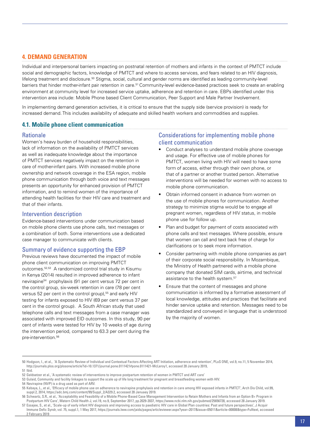### <span id="page-18-0"></span>**4. Demand generation**

Individual and interpersonal barriers impacting on postnatal retention of mothers and infants in the context of PMTCT include social and demographic factors, knowledge of PMTCT and where to access services, and fears related to an HIV diagnosis, lifelong treatment and disclosure.50 Stigma, social, cultural and gender norms are identified as leading community-level barriers that hinder mother-infant pair retention in care.<sup>51</sup> Community-level evidence-based practices seek to create an enabling environment at community level for increased service uptake, adherence and retention in care. EBPs identified under this intervention area include: Mobile Phone based Client Communication, Peer Support and Male Partner Involvement.

In implementing demand generation activities, it is critical to ensure that the supply side (service provision) is ready for increased demand. This includes availability of adequate and skilled health workers and commodities and supplies.

#### **4.1. Mobile phone client communication**

#### **Rationale**

Women's heavy burden of household responsibilities, lack of information on the availability of PMTCT services as well as inadequate knowledge about the importance of PMTCT services negatively impact on the retention in care of mother-infant pairs. With increased mobile phone ownership and network coverage in the ESA region, mobile phone communication through both voice and text messages presents an opportunity for enhanced provision of PMTCT information, and to remind women of the importance of attending health facilities for their HIV care and treatment and that of their infants.

#### Intervention description

Evidence-based interventions under communication based on mobile phone clients use phone calls, text messages or a combination of both. Some interventions use a dedicated case manager to communicate with clients.

#### Summary of evidence supporting the EBP

Previous reviews have documented the impact of mobile phone client communication on improving PMTCT outcomes.52,53 A randomized control trial study in Kisumu in Kenya (2014) resulted in improved adherence to infant nevirapine54 prophylaxis (91 per cent versus 72 per cent in the control group, six-week retention in care (78 per cent versus 52 per cent in the control group),<sup>55</sup> and early HIV testing for infants exposed to HIV (69 per cent versus 37 per cent in the control group). A South African study that used telephone calls and text messages from a case manager was associated with improved EID outcomes. In this study, 90 per cent of infants were tested for HIV by 10 weeks of age during the intervention period, compared to 63.3 per cent during the pre-intervention.56

#### Considerations for implementing mobile phone client communication

- Conduct analyses to understand mobile phone coverage and usage. For effective use of mobile phones for PMTCT, women living with HIV will need to have some form of access, either through their own phone, or that of a partner or another trusted person. Alternative interventions will be needed for women with no access to mobile phone communication.
- Obtain informed consent in advance from women on the use of mobile phones for communication. Another strategy to minimize stigma would be to engage all pregnant women, regardless of HIV status, in mobile phone use for follow up.
- Plan and budget for payment of costs associated with phone calls and text messages. Where possible, ensure that women can call and text back free of charge for clarifications or to seek more information.
- Consider partnering with mobile phone companies as part of their corporate social responsibility. In Mozambique, the Ministry of Health partnered with a mobile phone company that donated SIM cards, airtime, and technical assistance to the health system.<sup>57</sup>
- Ensure that the content of messages and phone communication is informed by a formative assessment of local knowledge, attitudes and practices that facilitate and hinder service uptake and retention. Messages need to be standardized and conveyed in language that is understood by the majority of women.

<sup>50</sup> Hodgson, I., et al., 'A Systematic Review of Individual and Contextual Factors Affecting ART Initiation, adherence and retention', PLoS ONE, vol.9, no.11, 5 November 2014, http://journals.plos.org/plosone/article?id=10.1371/journal.pone.0111421#pone.0111421-McLeroy1, accessed 28 January 2019, 51 Ibid.

<sup>52</sup> Geldsetzer et al., 'A systematic review of interventions to improve postpartum retention of women in PMTCT and ART care'

<sup>53</sup> Gulaid, Community and facility linkages to support the scale up of life long treatment for pregnant and breastfeeding women with HIV.

<sup>54</sup> Nevirapine (NVP) is a drug used as part of ARV.

<sup>55</sup> Kebaya, L., et al., 'Efficacy of mobile phone use on adherence to nevirapine prophylaxis and retention in care among HIV exposed infants in PMTCT', Arch Dis Child, vol.99, suppl.2, 2014, https://adc.bmj.com/content/99/Suppl\_2/A329.2, accessed 28 Januaey 2019.

<sup>56</sup> Schwartz, S.R., et al., 'Acceptability and Feasibility of a Mobile Phone-Based Case Management Intervention to Retain Mothers and Infants from an Option B+ Program in Postpartum HIV Care', Matern Child Health J, vol.19, no.9, September 2017, pp.2029-2037, https://www.ncbi.nlm.nih.gov/pubmed/25656728, accessed 28 January 2019.

<sup>57</sup> Essajee, S., et al., 'Scale-up of early infant HIV diagnosis and improving access to paediatric HIV care in Global Plan countries: Past and future perspectives', J Acquir Immune Defic Syndr, vol. 75, suppl.1, 1 May 2017, https://journals.lww.com/jaids/pages/articleviewer.aspx?year=2017&issue=05011&article=00008&type=Fulltext, accessed 2 February 2019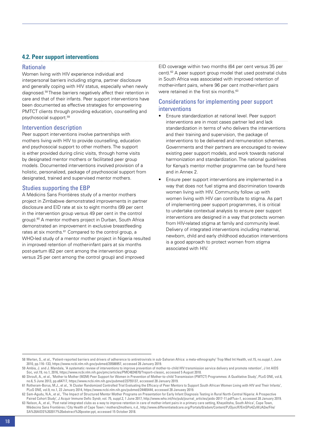# **4.2. Peer support interventions**

#### **Rationale**

Women living with HIV experience individual and interpersonal barriers including stigma, partner disclosure and generally coping with HIV status, especially when newly diagnosed.58 These barriers negatively affect their retention in care and that of their infants. Peer support interventions have been documented as effective strategies for empowering PMTCT clients through providing education, counselling and psychosocial support.59

#### Intervention description

Peer support interventions involve partnerships with mothers living with HIV to provide counselling, education and psychosocial support to other mothers. The support is either provided during clinic visits, through home visits by designated mentor mothers or facilitated peer group models. Documented interventions involved provision of a holistic, personalized, package of psychosocial support from designated, trained and supervised mentor mothers.

### Studies supporting the EBP

A Médicins Sans Frontières study of a mentor mothers project in Zimbabwe demonstrated improvements in partner disclosure and EID rate at six to eight months (99 per cent in the intervention group versus 49 per cent in the control group).<sup>60</sup> A mentor mothers project in Durban, South Africa demonstrated an improvement in exclusive breastfeeding rates at six months.<sup>61</sup> Compared to the control group, a WHO-led study of a mentor mother project in Nigeria resulted in improved retention of mother-infant pairs at six months post-partum (62 per cent among the intervention group versus 25 per cent among the control group) and improved

EID coverage within two months (64 per cent versus 35 per cent).62 A peer support group model that used postnatal clubs in South Africa was associated with improved retention of mother-infant pairs, where 96 per cent mother-infant pairs were retained in the first six months.<sup>63</sup>

# Considerations for implementing peer support interventions

- Ensure standardization at national level. Peer support interventions are in most cases partner led and lack standardization in terms of who delivers the interventions and their training and supervision, the package of interventions to be delivered and remuneration schemes. Governments and their partners are encouraged to review existing peer support models, and work towards national harmonization and standardization. The national guidelines for Kenya's mentor mother programme can be found here and in Annex 2.
- Ensure peer support interventions are implemented in a way that does not fuel stigma and discrimination towards women living with HIV. Community follow up with women living with HIV can contribute to stigma. As part of implementing peer support programmes, it is critical to undertake contextual analysis to ensure peer support interventions are designed in a way that protects women from HIV-related stigma at family and community level. Delivery of integrated interventions including maternal, newborn, child and early childhood education interventions is a good approach to protect women from stigma associated with HIV.

<sup>58</sup> Merten, S., et al., 'Patient-reported barriers and drivers of adherence to antiretrovirals in sub-Saharan Africa: a meta-ethnography' Trop Med Int Health, vol.15, no.suppl.1, June 2010, pp.116–133, https://www.ncbi.nlm.nih.gov/pubmed/20586957, accessed 28 January 2019.

<sup>59</sup> Ambia, J. and J. Mandala, 'A systematic review of interventions to improve prevention of mother-to-child HIV transmission service delivery and promote retention', J Int AIDS Soc, vol.19, no.1, 2016, https://www.ncbi.nlm.nih.gov/pmc/articles/PMC4824870/?report=classic, accessed 5 August 2018.

<sup>60</sup> Shroufi, A., et al., 'Mother to Mother (M2M) Peer Support for Women in Prevention of Mother-to-child Transmission (PMTCT) Programmes: A Qualitative Study', PLoS ONE, vol.8, no.6, 5 June 2013, pp.e64717, https://www.ncbi.nlm.nih.gov/pubmed/23755137, accessed 28 January 2019.

<sup>61</sup> Rotheram-Borus, M.J., et al., 'A Cluster Randomized Controlled Trial Evaluating the Efficacy of Peer Mentors to Support South African Women Living with HIV and Their Infants', PLoS ONE, vol.9, no.1, 22 January 2014, https://www.ncbi.nlm.nih.gov/pubmed/24465444, accessed 28 Januaey 2019.

<sup>62</sup> Sam-Agudu, N.A., et al., 'The Impact of Structured Mentor Mother Programs on Presentation for Early Infant Diagnosis Testing in Rural North-Central Nigeria: A Prospective Paired Cohort Study', J Acquir Immune Defic Syndr, vol. 75, suppl.2, 1 June 2017, http://www.who.int/hiv/pub/journal\_articles/jaids-2017-11.pdf?ua=1, accessed 28 January 2019.

<sup>63</sup> Nelson, A., et al., 'Post natal integrated clubs as a way to improve retention in care of mother-infant pairs in a primary care setting, Khayelitsha, South Africa', Cape Town, Médecins Sans Frontières / City Health of Cape Town / mothers2mothers, n.d., http://www.differentiatedcare.org/Portals/0/adam/Content/PJOjuicR7EmSPo4ZuWJA2w/File/ SA%20AIDS%202017%20abstract%20poster.ppt, accessed 15 October 2018.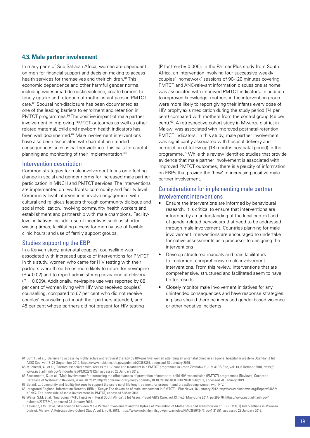#### **4.3. Male partner involvement**

In many parts of Sub Saharan Africa, women are dependent on men for financial support and decision making to access health services for themselves and their children.64 This economic dependence and other harmful gender norms, including widespread domestic violence, create barriers to timely uptake and retention of mother-infant pairs in PMTCT care.65 Spousal non-disclosure has been documented as one of the leading barriers to enrolment and retention in PMTCT programmes.<sup>66</sup> The positive impact of male partner involvement in improving PMTCT outcomes as well as other related maternal, child and newborn health indicators has been well documented.<sup>67</sup> Male involvement interventions have also been associated with harmful unintended consequences such as partner violence. This calls for careful planning and monitoring of their implementation.<sup>68</sup>

#### Intervention description

Common strategies for male involvement focus on effecting change in social and gender norms for increased male partner participation in MNCH and PMTCT services. The interventions are implemented on two fronts: community and facility level. Community-level interventions involve engagement with cultural and religious leaders through community dialogue and social mobilization, involving community health workers and establishment and partnership with male champions. Facilitylevel initiatives include: use of incentives such as shorter waiting times; facilitating access for men by use of flexible clinic hours; and use of family support groups.

#### Studies supporting the EBP

In a Kenyan study, antenatal couples' counselling was associated with increased uptake of interventions for PMTCT. In this study, women who came for HIV testing with their partners were three times more likely to return for nevirapine  $(P = 0.02)$  and to report administering nevirapine at delivery  $(P = 0.009)$ . Additionally, nevirapine use was reported by 88 per cent of women living with HIV who received couples' counselling, compared to 67 per cent who did not receive couples' counselling although their partners attended, and 45 per cent whose partners did not present for HIV testing

(P for trend = 0.006). In the Partner Plus study from South Africa, an intervention involving four successive weekly couples' 'homework' sessions of 90-120 minutes covering PMTCT and ANC-relevant information discussions at home was associated with improved PMTCT indicators. In addition to improved knowledge, mothers in the intervention group were more likely to report giving their infants every dose of HIV prophylaxis medication during the study period (74 per cent) compared with mothers from the control group (46 per cent).69 A retrospective cohort study in Mwanza district in Malawi was associated with improved postnatal-retention PMTCT indicators. In this study, male partner involvement was significantly associated with hospital delivery and completion of follow-up (18 months postnatal period) in the programme.70 While this review identified studies that provide evidence that male partner involvement is associated with improved PMTCT outcomes, there is a paucity of information on EBPs that provide the 'how' of increasing positive male partner involvement.

### Considerations for implementing male partner involvement interventions

- Ensure the interventions are informed by behavioural research. It is critical to ensure that interventions are informed by an understanding of the local context and of gender-related behaviours that need to be addressed through male involvement. Countries planning for male involvement interventions are encouraged to undertake formative assessments as a precursor to designing the interventions
- Develop structured manuals and train facilitators to implement comprehensive male involvement interventions. From this review, interventions that are comprehensive, structured and facilitated seem to have better results.
- Closely monitor male involvement initiatives for any unintended consequences and have response strategies in place should there be increased gender-based violence or other negative incidents.

<sup>64</sup> Duff, P., et al., 'Barriers to accessing highly active antiretroviral therapy by HIV-positive women attending an antenatal clinic in a regional hospital in western Uganda', J Int AIDS Soc, vol.13, 23 September 2010, https://www.ncbi.nlm.nih.gov/pubmed/20863399, accessed 28 January 2019.

<sup>65</sup> Muchedzi, A., et al., 'Factors associated with access to HIV care and treatment in a PMTCT programme in urban Zimbabwe' J Int AIDS Soc, vol. 13, 6 October 2010, https:// www.ncbi.nlm.nih.gov/pmc/articles/PMC2978127/, accessed 28 January 2019.

<sup>66</sup> Brusamento, S., et al., 'Male involvement for increasing the effectiveness of prevention of mother-to-child HIV transmission (PMTCT) programmes (Review)', Cochrane Database of Systematic Reviews, issue 10, 2012, http://cochranelibrary-wiley.com/doi/10.1002/14651858.CD009468.pub2/full, accessed 28 January 2019.

<sup>67</sup> Gulaid, L., Community and facility linkages to support the scale up of life long treatment for pregnant and breastfeeding women with HIV.

<sup>68</sup> Integrated Regional Information Network (IRIN), 'Kenya: The downside of male involvement in PMTCT', PlusNews, 16 January 2012, http://www.plusnews.org/Report/94652/ KENYA-The-downside-of-male-involvement-in-PMTCT, accessed 5 May 2018.

<sup>69</sup> Weiss, S.M, et al., 'Improving PMTCT uptake in Rural South Africa', J Int Assoc Provid AIDS Care, vol.13, no.3, May-June 2014, pp.269-76, https://www.ncbi.nlm.nih.gov/ pubmed/23778240, accessed 28 January 2019.

<sup>70</sup> Kalembo, F.W., et al,, 'Association between Male Partner Involvement and the Uptake of Prevention of Mother-to-child Transmission of HIV (PMTCT) Interventions in Mwanza District, Malawi: A Retrospective Cohort Study', vol.8, no.6, 2013, https://www.ncbi.nlm.nih.gov/pmc/articles/PMC3680434/#!po=1.21951, accessed 28 January 2019.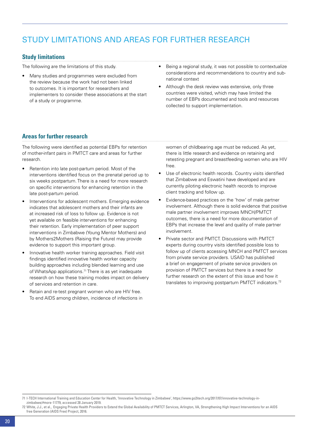# <span id="page-21-0"></span>Study limitations and areas for further research

# **Study limitations**

The following are the limitations of this study.

- Many studies and programmes were excluded from the review because the work had not been linked to outcomes. It is important for researchers and implementers to consider these associations at the start of a study or programme.
- Being a regional study, it was not possible to contextualize considerations and recommendations to country and subnational context
- Although the desk review was extensive, only three countries were visited, which may have limited the number of EBPs documented and tools and resources collected to support implementation.

# **Areas for further research**

The following were identified as potential EBPs for retention of mother-infant pairs in PMTCT care and areas for further research.

- Retention into late post-partum period. Most of the interventions identified focus on the prenatal period up to six weeks postpartum. There is a need for more research on specific interventions for enhancing retention in the late post-partum period.
- Interventions for adolescent mothers. Emerging evidence indicates that adolescent mothers and their infants are at increased risk of loss to follow up. Evidence is not yet available on feasible interventions for enhancing their retention. Early implementation of peer support interventions in Zimbabwe (Young Mentor Mothers) and by Mothers2Mothers (Raising the Future) may provide evidence to support this important group.
- Innovative health worker training approaches. Field visit findings identified innovative health worker capacity building approaches including blended learning and use of WhatsApp applications.<sup>71</sup> There is as yet inadequate research on how these training modes impact on delivery of services and retention in care.
- Retain and re-test pregnant women who are HIV free. To end AIDS among children, incidence of infections in

women of childbearing age must be reduced. As yet, there is little research and evidence on retaining and retesting pregnant and breastfeeding women who are HIV free.

- Use of electronic health records. Country visits identified that Zimbabwe and Eswatini have developed and are currently piloting electronic health records to improve client tracking and follow up.
- Evidence-based practices on the 'how' of male partner involvement. Although there is solid evidence that positive male partner involvement improves MNCH/PMTCT outcomes, there is a need for more documentation of EBPs that increase the level and quality of male partner involvement.
- Private sector and PMTCT. Discussions with PMTCT experts during country visits identified possible loss to follow up of clients accessing MNCH and PMTCT services from private service providers. USAID has published a brief on engagement of private service providers on provision of PMTCT services but there is a need for further research on the extent of this issue and how it translates to improving postpartum PMTCT indicators.<sup>72</sup>

<sup>71</sup> I-TECH International Training and Education Center for Health, 'Innovative Technology in Zimbabwe', https://www.go2itech.org/2017/07/innovative-technology-inzimbabwe/#more-11779, accessed 28 January 2019.

<sup>72</sup> White, J.J., et al., Engaging Private Health Providers to Extend the Global Availability of PMTCT Services, Arlington, VA, Strengthening High Impact Interventions for an AIDS free Generation (AIDS Free) Project, 2016.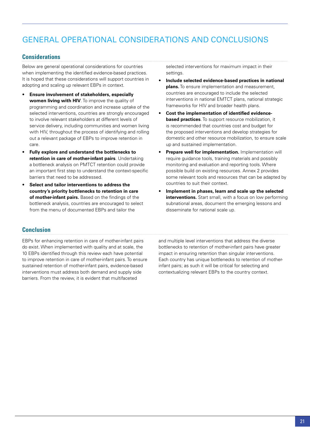# <span id="page-22-0"></span>General operational considerations and conclusions

### **Considerations**

Below are general operational considerations for countries when implementing the identified evidence-based practices. It is hoped that these considerations will support countries in adopting and scaling up relevant EBPs in context.

- **Ensure involvement of stakeholders, especially women living with HIV**. To improve the quality of programming and coordination and increase uptake of the selected interventions, countries are strongly encouraged to involve relevant stakeholders at different levels of service delivery, including communities and women living with HIV, throughout the process of identifying and rolling out a relevant package of EBPs to improve retention in care.
- **Fully explore and understand the bottlenecks to retention in care of mother-infant pairs**. Undertaking a bottleneck analysis on PMTCT retention could provide an important first step to understand the context-specific barriers that need to be addressed.
- **Select and tailor interventions to address the country's priority bottlenecks to retention in care of mother-infant pairs.** Based on the findings of the bottleneck analysis, countries are encouraged to select from the menu of documented EBPs and tailor the

selected interventions for maximum impact in their settings.

- Include selected evidence-based practices in national **plans.** To ensure implementation and measurement, countries are encouraged to include the selected interventions in national EMTCT plans, national strategic frameworks for HIV and broader health plans.
- • **Cost the implementation of identified evidencebased practices**. To support resource mobilization, it is recommended that countries cost and budget for the proposed interventions and develop strategies for domestic and other resource mobilization, to ensure scale up and sustained implementation.
- **Prepare well for implementation.** Implementation will require guidance tools, training materials and possibly monitoring and evaluation and reporting tools. Where possible build on existing resources. Annex 2 provides some relevant tools and resources that can be adapted by countries to suit their context.
- Implement in phases, learn and scale up the selected **interventions.** Start small, with a focus on low performing subnational areas, document the emerging lessons and disseminate for national scale up.

# **Conclusion**

EBPs for enhancing retention in care of mother-infant pairs do exist. When implemented with quality and at scale, the 10 EBPs identified through this review each have potential to improve retention in care of mother-infant pairs. To ensure sustained retention of mother-infant pairs, evidence-based interventions must address both demand and supply side barriers. From the review, it is evident that multifaceted

and multiple level interventions that address the diverse bottlenecks to retention of mother-infant pairs have greater impact in ensuring retention than singular interventions. Each country has unique bottlenecks to retention of motherinfant pairs; as such it will be critical for selecting and contextualizing relevant EBPs to the country context.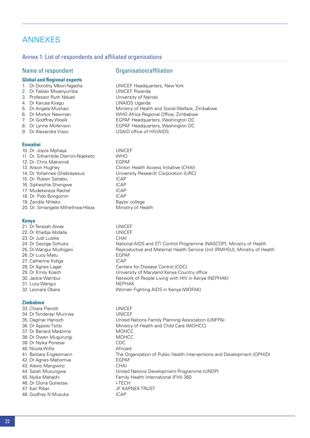# <span id="page-23-0"></span>ANNEXES

#### Annex 1: List of respondents and affiliated organisations

#### Name of respondent **Organisation**/affiliation

- **Global and Regional experts**
- 
- 
- 
- 4. Dr Karusa Kiragu
- 
- 
- 
- 
- 

#### **Eswatini**

| 10. Dr. Joyce Mphaya               | UNIC        |
|------------------------------------|-------------|
| 11. Dr. Sithembile Dlamini-Ngeketo | <b>WHO</b>  |
| 12. Dr. Chris Makwindi             | <b>EGPA</b> |
| 13. Alison Hughey                  | Clinto      |
| 14. Dr. Yohannes Ghebreyesus       | Unive       |
| 15. Dr. Ruben Sahabo,              | ICAP.       |
| 16. Siphesihle Shongwe             | ICAP.       |
| 17. Mudekereza Rachel              | <b>ICAP</b> |
| 18. Dr. Pido Bongomin              | ICAP        |
| 19. Zandile Nhleko                 | Baylo       |
| 20. Dr. Simangele Mthethwa-Hleza   | Minis       |
|                                    |             |

#### **Kenya**

21. Dr Terezah Alwar UNICEF 22. Dr Khadija Abdalla UNICEF 23. Dr Judi Lusike CHAI 26. Dr Lucy Matu<br>
27 Catherine Kidiga<br>
27 Catherine Kidiga 27. Catherine Kidiga 31. Lucy Wangui **NEPHAK** 

#### **Zimbabwe**

33. Chiara Pierotti UNICEF 34. Dr Tonderayi Murirwa UNICEF 37. Dr Benard Madzima MOHCC 38. Dr Owen Mugurungi MOHCC 39. Dr Nyika Ponesai CDC 40. Nicola Willis **Africaid** Africaid 42. Dr Agnes Mahomva EGPAF 43. Alexio Mangwiro CHAI 46. Dr Gloria Gonesse I-TECH 47. Karl Riber JF KAPNEK TRUST 48. Godfrey N Musuka **ICAP** 

1. Dr Dorothy Mbori-Ngacha UNICEF Headquarters, New York 2. Dr Fabian Mwanyumba<br>3. Professor Ruth Nduati University of Nairobi 3. Professor Ruth Nduati **Channel Communist Channel View Professor Ruth Nairobi** 4. Dr Karusa Kiragu 5. Dr Angela Mushavi Ministry of Health and Social Welfare, Zimbabwe 6. Dr Morkor Newman WHO Africa Regional Office, Zimbabwe EGPAF Headquarters, Washington DC 8. Dr Lynne Mofenson **EGPAF Headquarters, Washington DC** 9. Dr Alexandra Vrazo USAID office of HIV/AIDS

> UNICEF EGPAF Clinton Health Access Initiative (CHAI) University Research Corporation (URC) Baylor college Ministry of Health

24. Dr George Githuka National AIDS and STI Control Programme (NASCOP), Ministry of Health 25. Dr Wangui Muthigani **Reproductive and Maternal Health Service Unit (RMHSU)**, Ministry of Health 28. Dr Agnes Lagat Centers for Disease Control (CDC) 29. Dr Emily Koech University of Maryland Kenya Country office Network of People Living with HIV in Kenya (NEPHAK) 32. Leonara Obara **Women Fighting AIDS** in Kenya (WOFAK)

35. Dagmar Hanisch United Nations Family Planning Association (UNFPA) 36. Dr Appolo Tsitsi Ministry of Health and Child Care (MOHCC) 41. Barbara Englesmann The Organization of Public Health Interventions and Development (OPHID) 44. Sarah Musungwa United Nations Development Programme (UNDP) 45. Nyika Mahachi **Family Health International (FHI)** 360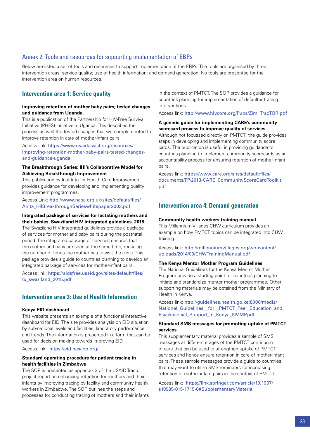# Annex 2: Tools and resources for supporting implementation of EBPs

Below are listed a set of tools and resources to support implementation of the EBPs. The tools are organised by three intervention areas: service quality; use of health information; and demand generation. No tools are presented for the intervention area on human resources.

# **Intervention area 1: Service quality**

#### **Improving retention of mother baby pairs; tested changes and guidance from Uganda.**

This is a publication of the Partnership for HIV-Free Survival Initiative (PHFS) initiative in Uganda. This describes the process as well the tested changes that were implemented to improve retention in care of mother-infant pairs.

Access link: [https://www.usaidassist.org/resources/](https://www.usaidassist.org/resources/improving-retention-mother-baby-pairs-tested-changes-and-guidance-uganda) [improving-retention-mother-baby-pairs-tested-changes](https://www.usaidassist.org/resources/improving-retention-mother-baby-pairs-tested-changes-and-guidance-uganda)[and-guidance-uganda](https://www.usaidassist.org/resources/improving-retention-mother-baby-pairs-tested-changes-and-guidance-uganda)

#### **The Breakthrough Series: IHI's Collaborative Model for Achieving Breakthrough Improvement**

This publication by Institute for Health Care Improvement provides guidance for developing and implementing quality improvement programmes.

Access Link: [http://www.ncpc.org.uk/sites/default/files/](http://www.ncpc.org.uk/sites/default/files/Anita_IHIBreakthroughSerieswhitepaper2003.pdf) [Anita\\_IHIBreakthroughSerieswhitepaper2003.pdf](http://www.ncpc.org.uk/sites/default/files/Anita_IHIBreakthroughSerieswhitepaper2003.pdf)

#### **Integrated package of services for lactating mothers and their babies. Swaziland HIV integrated guidelines. 2015**

The Swaziland HIV integrated guidelines provide a package of services for mother and baby pairs during the postnatal period. The integrated package of services ensures that the mother and baby are seen at the same time, reducing the number of times the mother has to visit the clinic. This package provides a guide to countries planning to develop an integrated package of services for mother-infant pairs.

Access link: [https://aidsfree.usaid.gov/sites/default/files/](https://aidsfree.usaid.gov/sites/default/files/tx_swaziland_2015.pdf) [tx\\_swaziland\\_2015.pdf](https://aidsfree.usaid.gov/sites/default/files/tx_swaziland_2015.pdf)

# **Intervention area 3: Use of Health Information**

#### **Kenya EID dashboard**

This website presents an example of a functional interactive dashboard for EID. The site provides analysis on EID situation by sub-national levels and facilities, laboratory performance and trends. The information is presented in a form that can be used for decision making towards improving EID.

#### Access link: https://eid.nascop.org/

#### **Standard operating procedure for patient tracing in health facilities in Zimbabwe**

The SOP is presented as appendix 3 of the USAID Tractor project report on enhancing retention for mothers and their infants by improving tracing by facility and community health workers in Zimbabwe. The SOP outlines the steps and processes for conducting tracing of mothers and their infants in the context of PMTCT. The SOP provides a guidance for countries planning for implementation of defaulter tracing interventions.

Access link: http://www.hivcore.org/Pubs/Zim\_TracTOR.pdf

#### **A generic guide for implementing CARE's community scorecard process to improve quality of services**

Although not focussed directly on PMTCT, the guide provides steps in developing and implementing community score cards. The publication is useful in providing guidance to countries planning to implement community scorecards as an accountability process for ensuring retention of mother-infant pairs.

Access link: [https://www.care.org/sites/default/files/](https://www.care.org/sites/default/files/documents/FP-2013-CARE_CommunityScoreCardToolkit.pdf) [documents/FP-2013-CARE\\_CommunityScoreCardToolkit.](https://www.care.org/sites/default/files/documents/FP-2013-CARE_CommunityScoreCardToolkit.pdf) [pdf](https://www.care.org/sites/default/files/documents/FP-2013-CARE_CommunityScoreCardToolkit.pdf)

# **Intervention area 4: Demand generation**

#### **Community health workers training manual**

This Millennium Villages CHW curriculum provides an example on how PMTCT topics can be integrated into CHW training.

Access link: [http://millenniumvillages.org/wp-content/](http://millenniumvillages.org/wp-content/uploads/2014/09/CHWTrainingManual.pdf) [uploads/2014/09/CHWTrainingManual.pdf](http://millenniumvillages.org/wp-content/uploads/2014/09/CHWTrainingManual.pdf)

#### **The Kenya Mentor Mother Program Guidelines**

The National Guidelines for the Kenya Mentor Mother Program provide a starting point for countries planning to initiate and standardize mentor mother programmes. Other supporting materials may be obtained from the Ministry of Health in Kenya.

Access link: [http://guidelines.health.go.ke:8000/media/](http://guidelines.health.go.ke:8000/media/National_Guidelines__for__PMTCT_Peer_Education_and_Psychosocial_Support_in_Kenya_KMMP.pdf) [National\\_Guidelines\\_\\_for\\_\\_PMTCT\\_Peer\\_Education\\_and\\_](http://guidelines.health.go.ke:8000/media/National_Guidelines__for__PMTCT_Peer_Education_and_Psychosocial_Support_in_Kenya_KMMP.pdf) [Psychosocial\\_Support\\_in\\_Kenya\\_KMMP.pdf](http://guidelines.health.go.ke:8000/media/National_Guidelines__for__PMTCT_Peer_Education_and_Psychosocial_Support_in_Kenya_KMMP.pdf)

#### **Standard SMS messages for promoting uptake of PMTCT services**

This supplementary material provides a sample of SMS messages at different stages of the PMTCT continuum of care that can be used to strengthen uptake of PMTCT services and hence ensure retention in care of mother-infant pairs. These sample messages provide a guide to countries that may want to utilize SMS reminders for increasing retention of mother-infant pairs in the context of PMTCT.

Access link: [https://link.springer.com/article/10.1007/](https://link.springer.com/article/10.1007/s10995-015-1715-0#SupplementaryMaterial) [s10995-015-1715-0#SupplementaryMaterial](https://link.springer.com/article/10.1007/s10995-015-1715-0#SupplementaryMaterial)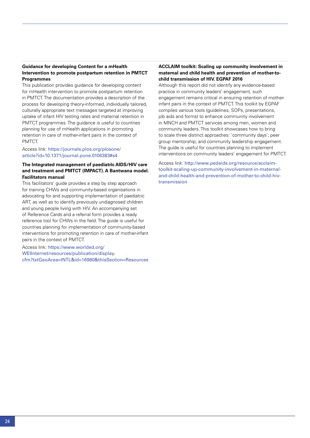#### **Guidance for developing Content for a mHealth Intervention to promote postpartum retention in PMTCT Programmes**

This publication provides guidance for developing content for mHealth intervention to promote postpartum retention in PMTCT. The documentation provides a description of the process for developing theory-informed, individually tailored, culturally appropriate text messages targeted at improving uptake of infant HIV testing rates and maternal retention in PMTCT programmes. The guidance is useful to countries planning for use of mHealth applications in promoting retention in care of mother-infant pairs in the context of PMTCT.

#### Access link: [https://journals.plos.org/plosone/](https://journals.plos.org/plosone/article?id=10.1371/journal.pone.0106383#s4) [article?id=10.1371/journal.pone.0106383#s4](https://journals.plos.org/plosone/article?id=10.1371/journal.pone.0106383#s4)

#### **The Integrated management of paediatric AIDS/HIV care and treatment and PMTCT (IMPACT). A Bantwana model. Facilitators manual**

This facilitators' guide provides a step by step approach for training CHWs and community-based organisations in advocating for and supporting implementation of paediatric ART, as well as to identify previously undiagnosed children and young people living with HIV. An accompanying set of Reference Cards and a referral form provides a ready reference tool for CHWs in the field. The guide is useful for countries planning for implementation of community-based interventions for promoting retention in care of mother-infant pairs in the context of PMTCT.

Access link: [https://www.worlded.org/](https://www.worlded.org/WEIInternet/resources/publication/display.cfm?txtGeoArea=INTL&id=16980&thisSection=Resources) [WEIInternet/resources/publication/display.](https://www.worlded.org/WEIInternet/resources/publication/display.cfm?txtGeoArea=INTL&id=16980&thisSection=Resources) [cfm?txtGeoArea=INTL&id=16980&thisSection=Resources](https://www.worlded.org/WEIInternet/resources/publication/display.cfm?txtGeoArea=INTL&id=16980&thisSection=Resources)

#### **ACCLAIM toolkit: Scaling up community involvement in maternal and child health and prevention of mother-tochild transmission of HIV. EGPAF 2016**

Although this report did not identify any evidence-based practice in community leaders' engagement, such engagement remains critical in ensuring retention of motherinfant pairs in the context of PMTCT. This toolkit by EGPAF compiles various tools (guidelines, SOPs, presentations, job aids and forms) to enhance community involvement in MNCH and PMTCT services among men, women and community leaders. This toolkit showcases how to bring to scale three distinct approaches: 'community days'; peer group mentorship; and community leadership engagement. The guide is useful for countries planning to implement interventions on community leaders' engagement for PMTCT.

Access link: [http://www.pedaids.org/resource/acclaim](http://www.pedaids.org/resource/acclaim-toolkit-scaling-up-community-involvement-in-maternal-and-child-health-and-prevention-of-mother to child-hiv-transmission)[toolkit-scaling-up-community-involvement-in-maternal](http://www.pedaids.org/resource/acclaim-toolkit-scaling-up-community-involvement-in-maternal-and-child-health-and-prevention-of-mother to child-hiv-transmission)[and-child-health-and-prevention-of-mother-to-child-hiv](http://www.pedaids.org/resource/acclaim-toolkit-scaling-up-community-involvement-in-maternal-and-child-health-and-prevention-of-mother to child-hiv-transmission)[transmission](http://www.pedaids.org/resource/acclaim-toolkit-scaling-up-community-involvement-in-maternal-and-child-health-and-prevention-of-mother to child-hiv-transmission)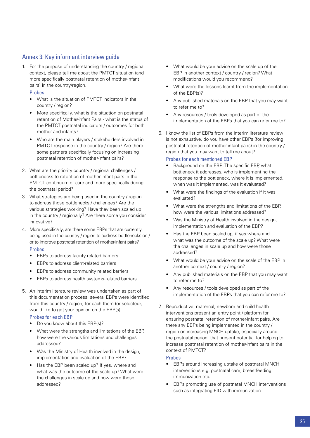# Annex 3: Key informant interview guide

1. For the purpose of understanding the country / regional context, please tell me about the PMTCT situation (and more specifically postnatal retention of mother-infant pairs) in the country/region.

#### **Probes**

- • What is the situation of PMTCT indicators in the country / region?
- More specifically, what is the situation on postnatal retention of Mother-infant Pairs - what is the status of the PMTCT postnatal indicators / outcomes for both mother and infants?
- Who are the main players / stakeholders involved in PMTCT response in the country / region? Are there some partners specifically focusing on increasing postnatal retention of mother-infant pairs?
- 2. What are the priority country / regional challenges / bottlenecks to retention of mother-infant pairs in the PMTCT continuum of care and more specifically during the postnatal period?
- 3. What strategies are being used in the country / region to address those bottlenecks / challenges? Are the various strategies working? Have they been scaled up in the country / regionally? Are there some you consider innovative?
- 4. More specifically, are there some EBPs that are currently being used in the country / region to address bottlenecks on / or to improve postnatal retention of mother-infant pairs?

#### Probes

- EBPs to address facility-related barriers
- • EBPs to address client-related barriers
- EBPs to address community related barriers
- EBPs to address health systems-related barriers
- 5. An interim literature review was undertaken as part of this documentation process, several EBPs were identified from this country / region, for each them (or selected), I would like to get your opinion on the EBP(s).

#### Probes for each EBP

- Do you know about this EBP(s)?
- What were the strengths and limitations of the EBP. how were the various limitations and challenges addressed?
- Was the Ministry of Health involved in the design, implementation and evaluation of the EBP?
- Has the EBP been scaled up? If yes, where and what was the outcome of the scale up? What were the challenges in scale up and how were those addressed?
- What would be your advice on the scale up of the EBP in another context / country / region? What modifications would you recommend?
- What were the lessons learnt from the implementation of the EBP(s)?
- Any published materials on the EBP that you may want to refer me to?
- Any resources / tools developed as part of the implementation of the EBPs that you can refer me to?
- 6. I know the list of EBPs from the interim literature review is not exhaustive, do you have other EBPs (for improving postnatal retention of mother-infant pairs) in the country / region that you may want to tell me about?

#### Probes for each mentioned EBP

- Background on the EBP: The specific EBP, what bottleneck it addresses, who is implementing the response to the bottleneck, where it is implemented, when was it implemented, was it evaluated?
- What were the findings of the evaluation if it was evaluated?
- What were the strengths and limitations of the EBP. how were the various limitations addressed?
- Was the Ministry of Health involved in the design, implementation and evaluation of the EBP?
- Has the EBP been scaled up, if yes where and what was the outcome of the scale up? What were the challenges in scale up and how were those addressed?
- What would be your advice on the scale of the EBP in another context / country / region?
- Any published materials on the EBP that you may want to refer me to?
- Any resources / tools developed as part of the implementation of the EBPs that you can refer me to?
- 7. Reproductive, maternal, newborn and child health interventions present an entry point / platform for ensuring postnatal retention of mother-infant pairs. Are there any EBPs being implemented in the country / region on increasing MNCH uptake, especially around the postnatal period, that present potential for helping to increase postnatal retention of mother-infant pairs in the context of PMTCT?

#### Probes

- EBPs around increasing uptake of postnatal MNCH interventions e.g. postnatal care, breastfeeding, immunization etc.
- • EBPs promoting use of postnatal MNCH interventions such as integrating EID with immunization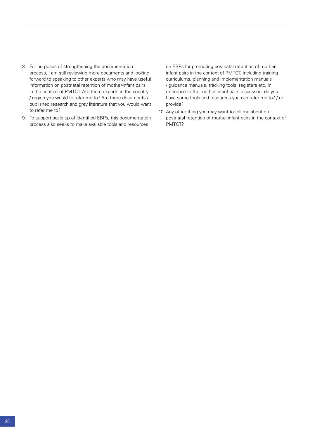- 8. For purposes of strengthening the documentation process, I am still reviewing more documents and looking forward to speaking to other experts who may have useful information on postnatal retention of mother-infant pairs in the context of PMTCT. Are there experts in the country / region you would to refer me to? Are there documents / published research and grey literature that you would want to refer me to?
- 9. To support scale up of identified EBPs, this documentation process also seeks to make available tools and resources

on EBPs for promoting postnatal retention of motherinfant pairs in the context of PMTCT, including training curriculums, planning and implementation manuals / guidance manuals, tracking tools, registers etc. In reference to the mother-infant pairs discussed, do you have some tools and resources you can refer me to? / or provide?

10. Any other thing you may want to tell me about on postnatal retention of mother-infant pairs in the context of PMTCT?